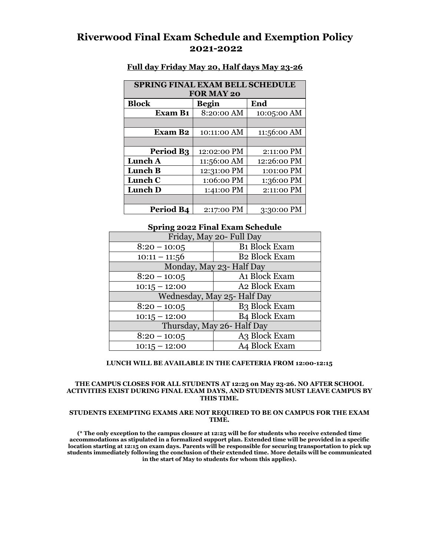# **Riverwood Final Exam Schedule and Exemption Policy 2021-2022**

| <b>SPRING FINAL EXAM BELL SCHEDULE</b> |              |             |
|----------------------------------------|--------------|-------------|
| <b>FOR MAY 20</b>                      |              |             |
| <b>Block</b>                           | <b>Begin</b> | End         |
| <b>Exam B1</b>                         | 8:20:00 AM   | 10:05:00 AM |
|                                        |              |             |
| Exam B <sub>2</sub>                    | 10:11:00 AM  | 11:56:00 AM |
|                                        |              |             |
| Period B <sub>3</sub>                  | 12:02:00 PM  | 2:11:00 PM  |
| Lunch A                                | 11:56:00 AM  | 12:26:00 PM |
| Lunch B                                | 12:31:00 PM  | 1:01:00 PM  |
| Lunch C                                | 1:06:00 PM   | 1:36:00 PM  |
| Lunch D                                | 1:41:00 PM   | 2:11:00 PM  |
|                                        |              |             |
| Period B4                              | 2:17:00 PM   | 3:30:00 PM  |

## **Full day Friday May 20, Half days May 23-26**

## **Spring 2022 Final Exam Schedule**

| Friday, May 20- Full Day    |                      |  |
|-----------------------------|----------------------|--|
| $8:20 - 10:05$              | <b>B1</b> Block Exam |  |
| $10:11 - 11:56$             | <b>B2 Block Exam</b> |  |
| Monday, May 23- Half Day    |                      |  |
| $8:20 - 10:05$              | A1 Block Exam        |  |
| $10:15 - 12:00$             | A2 Block Exam        |  |
| Wednesday, May 25- Half Day |                      |  |
| $8:20 - 10:05$              | <b>B3 Block Exam</b> |  |
| $10:15 - 12:00$             | <b>B4 Block Exam</b> |  |
| Thursday, May 26- Half Day  |                      |  |
| $8:20 - 10:05$              | A3 Block Exam        |  |
| $10:15 - 12:00$             | A4 Block Exam        |  |

### **LUNCH WILL BE AVAILABLE IN THE CAFETERIA FROM 12:00-12:15**

#### **THE CAMPUS CLOSES FOR ALL STUDENTS AT 12:25 on May 23-26. NO AFTER SCHOOL ACTIVITIES EXIST DURING FINAL EXAM DAYS, AND STUDENTS MUST LEAVE CAMPUS BY THIS TIME.**

### **STUDENTS EXEMPTING EXAMS ARE NOT REQUIRED TO BE ON CAMPUS FOR THE EXAM TIME.**

**(\* The only exception to the campus closure at 12:25 will be for students who receive extended time accommodations as stipulated in a formalized support plan. Extended time will be provided in a specific location starting at 12:15 on exam days. Parents will be responsible for securing transportation to pick up students immediately following the conclusion of their extended time. More details will be communicated in the start of May to students for whom this applies).**